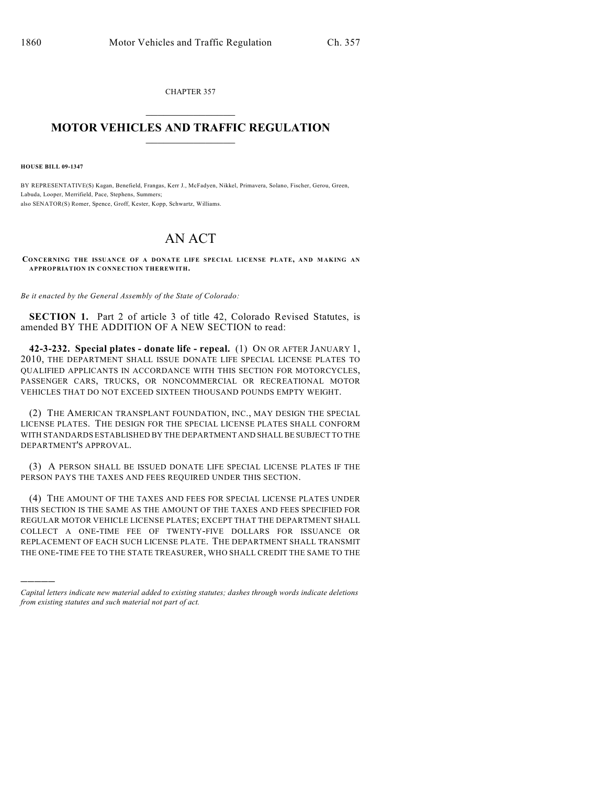CHAPTER 357  $\mathcal{L}_\text{max}$  . The set of the set of the set of the set of the set of the set of the set of the set of the set of the set of the set of the set of the set of the set of the set of the set of the set of the set of the set

## **MOTOR VEHICLES AND TRAFFIC REGULATION**  $\frac{1}{2}$  ,  $\frac{1}{2}$  ,  $\frac{1}{2}$  ,  $\frac{1}{2}$  ,  $\frac{1}{2}$  ,  $\frac{1}{2}$  ,  $\frac{1}{2}$  ,  $\frac{1}{2}$

**HOUSE BILL 09-1347**

)))))

BY REPRESENTATIVE(S) Kagan, Benefield, Frangas, Kerr J., McFadyen, Nikkel, Primavera, Solano, Fischer, Gerou, Green, Labuda, Looper, Merrifield, Pace, Stephens, Summers; also SENATOR(S) Romer, Spence, Groff, Kester, Kopp, Schwartz, Williams.

## AN ACT

**CONCERNING THE ISSUANCE OF A DONATE LIFE SPECIAL LICENSE PLATE, AND M AKING AN APPROPRIATION IN CONNECTION THEREWITH.**

*Be it enacted by the General Assembly of the State of Colorado:*

**SECTION 1.** Part 2 of article 3 of title 42, Colorado Revised Statutes, is amended BY THE ADDITION OF A NEW SECTION to read:

**42-3-232. Special plates - donate life - repeal.** (1) ON OR AFTER JANUARY 1, 2010, THE DEPARTMENT SHALL ISSUE DONATE LIFE SPECIAL LICENSE PLATES TO QUALIFIED APPLICANTS IN ACCORDANCE WITH THIS SECTION FOR MOTORCYCLES, PASSENGER CARS, TRUCKS, OR NONCOMMERCIAL OR RECREATIONAL MOTOR VEHICLES THAT DO NOT EXCEED SIXTEEN THOUSAND POUNDS EMPTY WEIGHT.

(2) THE AMERICAN TRANSPLANT FOUNDATION, INC., MAY DESIGN THE SPECIAL LICENSE PLATES. THE DESIGN FOR THE SPECIAL LICENSE PLATES SHALL CONFORM WITH STANDARDS ESTABLISHED BY THE DEPARTMENT AND SHALL BE SUBJECT TO THE DEPARTMENT'S APPROVAL.

(3) A PERSON SHALL BE ISSUED DONATE LIFE SPECIAL LICENSE PLATES IF THE PERSON PAYS THE TAXES AND FEES REQUIRED UNDER THIS SECTION.

(4) THE AMOUNT OF THE TAXES AND FEES FOR SPECIAL LICENSE PLATES UNDER THIS SECTION IS THE SAME AS THE AMOUNT OF THE TAXES AND FEES SPECIFIED FOR REGULAR MOTOR VEHICLE LICENSE PLATES; EXCEPT THAT THE DEPARTMENT SHALL COLLECT A ONE-TIME FEE OF TWENTY-FIVE DOLLARS FOR ISSUANCE OR REPLACEMENT OF EACH SUCH LICENSE PLATE. THE DEPARTMENT SHALL TRANSMIT THE ONE-TIME FEE TO THE STATE TREASURER, WHO SHALL CREDIT THE SAME TO THE

*Capital letters indicate new material added to existing statutes; dashes through words indicate deletions from existing statutes and such material not part of act.*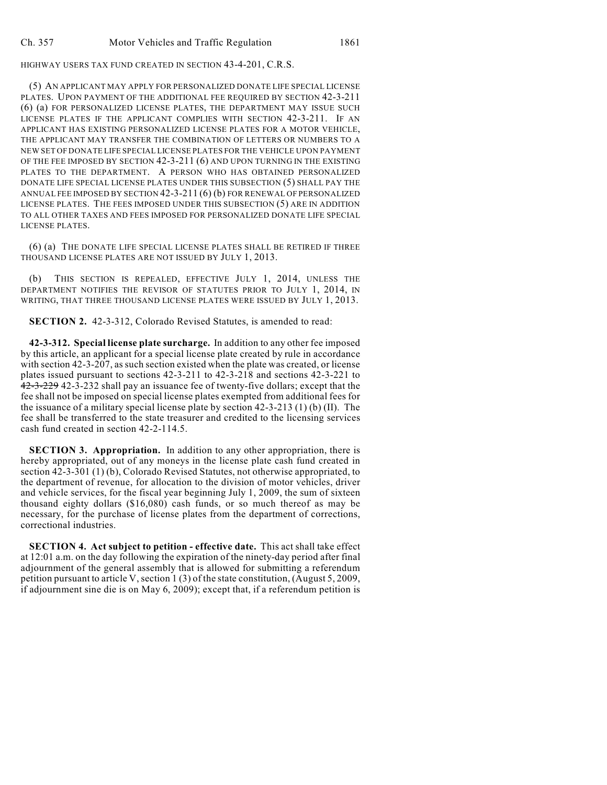HIGHWAY USERS TAX FUND CREATED IN SECTION 43-4-201, C.R.S.

(5) AN APPLICANT MAY APPLY FOR PERSONALIZED DONATE LIFE SPECIAL LICENSE PLATES. UPON PAYMENT OF THE ADDITIONAL FEE REQUIRED BY SECTION 42-3-211 (6) (a) FOR PERSONALIZED LICENSE PLATES, THE DEPARTMENT MAY ISSUE SUCH LICENSE PLATES IF THE APPLICANT COMPLIES WITH SECTION 42-3-211. IF AN APPLICANT HAS EXISTING PERSONALIZED LICENSE PLATES FOR A MOTOR VEHICLE, THE APPLICANT MAY TRANSFER THE COMBINATION OF LETTERS OR NUMBERS TO A NEW SET OF DONATE LIFE SPECIAL LICENSE PLATES FOR THE VEHICLE UPON PAYMENT OF THE FEE IMPOSED BY SECTION 42-3-211 (6) AND UPON TURNING IN THE EXISTING PLATES TO THE DEPARTMENT. A PERSON WHO HAS OBTAINED PERSONALIZED DONATE LIFE SPECIAL LICENSE PLATES UNDER THIS SUBSECTION (5) SHALL PAY THE ANNUAL FEE IMPOSED BY SECTION 42-3-211 (6) (b) FOR RENEWAL OF PERSONALIZED LICENSE PLATES. THE FEES IMPOSED UNDER THIS SUBSECTION (5) ARE IN ADDITION TO ALL OTHER TAXES AND FEES IMPOSED FOR PERSONALIZED DONATE LIFE SPECIAL LICENSE PLATES.

(6) (a) THE DONATE LIFE SPECIAL LICENSE PLATES SHALL BE RETIRED IF THREE THOUSAND LICENSE PLATES ARE NOT ISSUED BY JULY 1, 2013.

(b) THIS SECTION IS REPEALED, EFFECTIVE JULY 1, 2014, UNLESS THE DEPARTMENT NOTIFIES THE REVISOR OF STATUTES PRIOR TO JULY 1, 2014, IN WRITING, THAT THREE THOUSAND LICENSE PLATES WERE ISSUED BY JULY 1, 2013.

**SECTION 2.** 42-3-312, Colorado Revised Statutes, is amended to read:

**42-3-312. Special license plate surcharge.** In addition to any other fee imposed by this article, an applicant for a special license plate created by rule in accordance with section 42-3-207, as such section existed when the plate was created, or license plates issued pursuant to sections 42-3-211 to 42-3-218 and sections 42-3-221 to 42-3-229 42-3-232 shall pay an issuance fee of twenty-five dollars; except that the fee shall not be imposed on special license plates exempted from additional fees for the issuance of a military special license plate by section 42-3-213 (1) (b) (II). The fee shall be transferred to the state treasurer and credited to the licensing services cash fund created in section 42-2-114.5.

**SECTION 3. Appropriation.** In addition to any other appropriation, there is hereby appropriated, out of any moneys in the license plate cash fund created in section 42-3-301 (1) (b), Colorado Revised Statutes, not otherwise appropriated, to the department of revenue, for allocation to the division of motor vehicles, driver and vehicle services, for the fiscal year beginning July 1, 2009, the sum of sixteen thousand eighty dollars (\$16,080) cash funds, or so much thereof as may be necessary, for the purchase of license plates from the department of corrections, correctional industries.

**SECTION 4. Act subject to petition - effective date.** This act shall take effect at 12:01 a.m. on the day following the expiration of the ninety-day period after final adjournment of the general assembly that is allowed for submitting a referendum petition pursuant to article V, section 1 (3) of the state constitution, (August 5, 2009, if adjournment sine die is on May 6, 2009); except that, if a referendum petition is